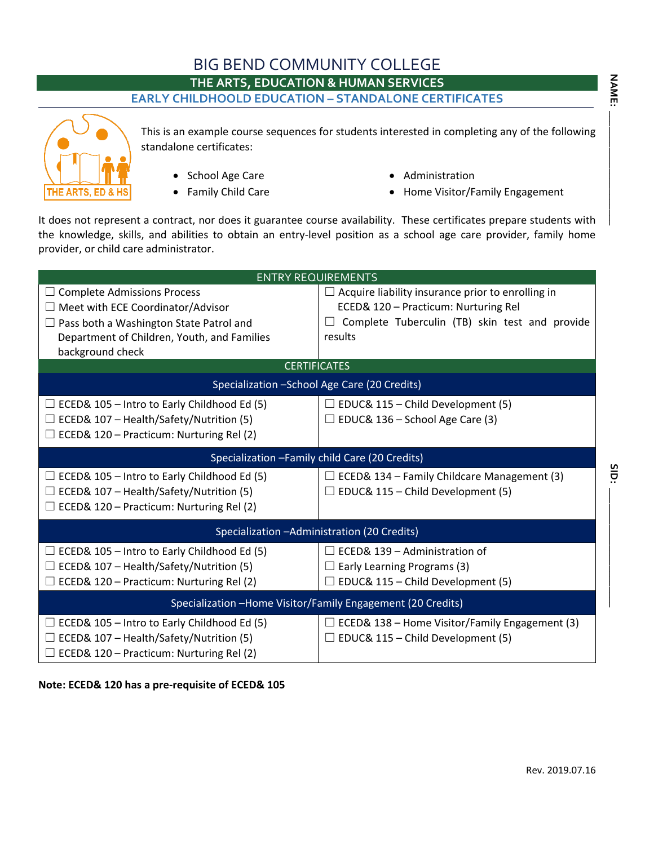# BIG BEND COMMUNITY COLLEGE

**THE ARTS, EDUCATION & HUMAN SERVICES**

#### **EARLY CHILDHOOLD EDUCATION – STANDALONE CERTIFICATES**



This is an example course sequences for students interested in completing any of the following standalone certificates:

- School Age Care
- Family Child Care
- Administration
- Home Visitor/Family Engagement

It does not represent a contract, nor does it guarantee course availability. These certificates prepare students with the knowledge, skills, and abilities to obtain an entry-level position as a school age care provider, family home provider, or child care administrator.

| <b>ENTRY REQUIREMENTS</b>                                   |                                                           |  |  |  |
|-------------------------------------------------------------|-----------------------------------------------------------|--|--|--|
| <b>Complete Admissions Process</b>                          | $\Box$ Acquire liability insurance prior to enrolling in  |  |  |  |
| Meet with ECE Coordinator/Advisor                           | ECED& 120 - Practicum: Nurturing Rel                      |  |  |  |
| Pass both a Washington State Patrol and                     | Complete Tuberculin (TB) skin test and provide<br>$\perp$ |  |  |  |
| Department of Children, Youth, and Families                 | results                                                   |  |  |  |
| background check                                            |                                                           |  |  |  |
| <b>CERTIFICATES</b>                                         |                                                           |  |  |  |
| Specialization - School Age Care (20 Credits)               |                                                           |  |  |  |
| ECED& 105 - Intro to Early Childhood Ed (5)                 | $\Box$ EDUC& 115 – Child Development (5)                  |  |  |  |
| ECED& 107 - Health/Safety/Nutrition (5)                     | $\Box$ EDUC& 136 – School Age Care (3)                    |  |  |  |
| ECED& 120 - Practicum: Nurturing Rel (2)                    |                                                           |  |  |  |
|                                                             |                                                           |  |  |  |
| Specialization - Family child Care (20 Credits)             |                                                           |  |  |  |
| ECED& 105 - Intro to Early Childhood Ed (5)                 | $\Box$ ECED& 134 – Family Childcare Management (3)        |  |  |  |
| ECED& 107 - Health/Safety/Nutrition (5)                     | $\Box$ EDUC& 115 – Child Development (5)                  |  |  |  |
| ECED& 120 - Practicum: Nurturing Rel (2)                    |                                                           |  |  |  |
| Specialization - Administration (20 Credits)                |                                                           |  |  |  |
| ECED& 105 - Intro to Early Childhood Ed (5)                 | $\Box$ ECED& 139 – Administration of                      |  |  |  |
| ECED& 107 - Health/Safety/Nutrition (5)                     | $\Box$ Early Learning Programs (3)                        |  |  |  |
| ECED& 120 - Practicum: Nurturing Rel (2)                    | $\Box$ EDUC& 115 – Child Development (5)                  |  |  |  |
| Specialization -Home Visitor/Family Engagement (20 Credits) |                                                           |  |  |  |
| ECED& 105 - Intro to Early Childhood Ed (5)                 | $\Box$ ECED& 138 – Home Visitor/Family Engagement (3)     |  |  |  |
| ECED& 107 - Health/Safety/Nutrition (5)                     | $\Box$ EDUC& 115 – Child Development (5)                  |  |  |  |
| ECED& 120 - Practicum: Nurturing Rel (2)                    |                                                           |  |  |  |

**Note: ECED& 120 has a pre-requisite of ECED& 105**

**SID: \_\_\_\_\_\_\_\_\_\_\_\_\_\_\_\_\_\_\_\_\_\_\_**

SID: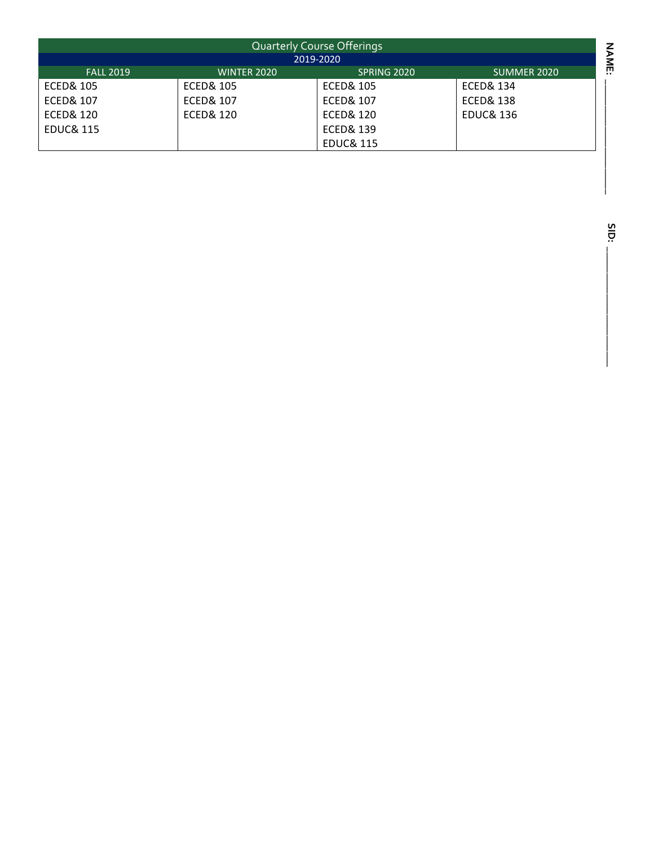| <b>Quarterly Course Offerings</b> |                      |                      |                      |  |
|-----------------------------------|----------------------|----------------------|----------------------|--|
| 2019-2020                         |                      |                      |                      |  |
| <b>FALL 2019</b>                  | <b>WINTER 2020</b>   | SPRING 2020          | SUMMER 2020          |  |
| <b>ECED&amp; 105</b>              | <b>ECED&amp; 105</b> | <b>ECED&amp; 105</b> | ECED& 134            |  |
| <b>ECED&amp; 107</b>              | <b>ECED&amp; 107</b> | <b>ECED&amp; 107</b> | <b>ECED&amp; 138</b> |  |
| <b>ECED&amp; 120</b>              | <b>ECED&amp; 120</b> | <b>ECED&amp; 120</b> | <b>EDUC&amp; 136</b> |  |
| <b>EDUC&amp; 115</b>              |                      | <b>ECED&amp; 139</b> |                      |  |
|                                   |                      | <b>EDUC&amp; 115</b> |                      |  |
|                                   |                      |                      |                      |  |
|                                   |                      |                      |                      |  |
|                                   |                      |                      |                      |  |

SID: **SID: \_\_\_\_\_\_\_\_\_\_\_\_\_\_\_\_\_\_\_\_\_\_\_**